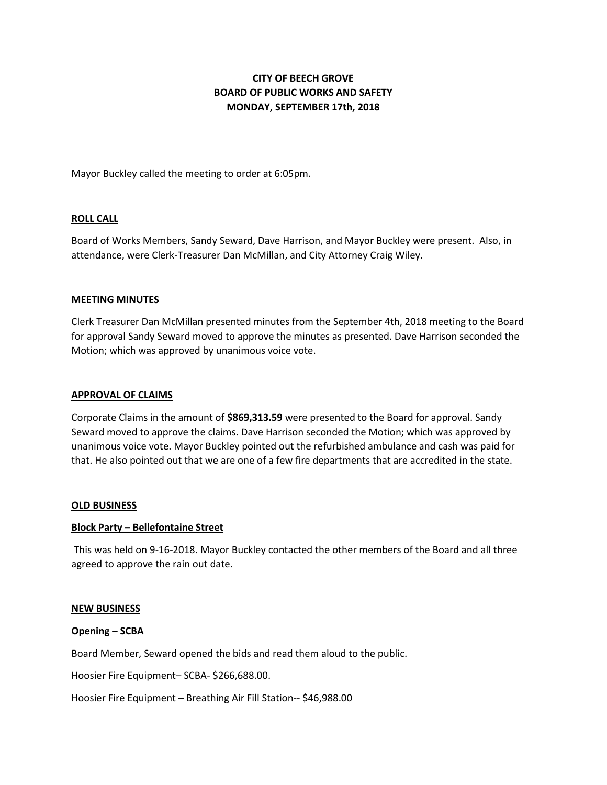# **CITY OF BEECH GROVE BOARD OF PUBLIC WORKS AND SAFETY MONDAY, SEPTEMBER 17th, 2018**

Mayor Buckley called the meeting to order at 6:05pm.

## **ROLL CALL**

Board of Works Members, Sandy Seward, Dave Harrison, and Mayor Buckley were present. Also, in attendance, were Clerk-Treasurer Dan McMillan, and City Attorney Craig Wiley.

#### **MEETING MINUTES**

Clerk Treasurer Dan McMillan presented minutes from the September 4th, 2018 meeting to the Board for approval Sandy Seward moved to approve the minutes as presented. Dave Harrison seconded the Motion; which was approved by unanimous voice vote.

#### **APPROVAL OF CLAIMS**

Corporate Claims in the amount of **\$869,313.59** were presented to the Board for approval. Sandy Seward moved to approve the claims. Dave Harrison seconded the Motion; which was approved by unanimous voice vote. Mayor Buckley pointed out the refurbished ambulance and cash was paid for that. He also pointed out that we are one of a few fire departments that are accredited in the state.

#### **OLD BUSINESS**

#### **Block Party – Bellefontaine Street**

This was held on 9-16-2018. Mayor Buckley contacted the other members of the Board and all three agreed to approve the rain out date.

#### **NEW BUSINESS**

#### **Opening – SCBA**

Board Member, Seward opened the bids and read them aloud to the public.

Hoosier Fire Equipment– SCBA- \$266,688.00.

Hoosier Fire Equipment – Breathing Air Fill Station-- \$46,988.00